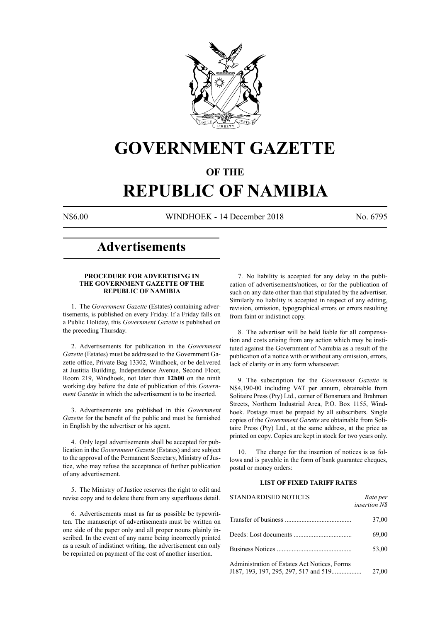

## **GOVERNMENT GAZETTE**

### **OF THE**

# **REPUBLIC OF NAMIBIA**

N\$6.00 WINDHOEK - 14 December 2018 No. 6795

### **Advertisements**

#### **PROCEDURE FOR ADVERTISING IN THE GOVERNMENT GAZETTE OF THE REPUBLIC OF NAMIBIA**

1. The *Government Gazette* (Estates) containing advertisements, is published on every Friday. If a Friday falls on a Public Holiday, this *Government Gazette* is published on the preceding Thursday.

2. Advertisements for publication in the *Government Gazette* (Estates) must be addressed to the Government Gazette office, Private Bag 13302, Windhoek, or be delivered at Justitia Building, Independence Avenue, Second Floor, Room 219, Windhoek, not later than **12h00** on the ninth working day before the date of publication of this *Government Gazette* in which the advertisement is to be inserted.

3. Advertisements are published in this *Government Gazette* for the benefit of the public and must be furnished in English by the advertiser or his agent.

4. Only legal advertisements shall be accepted for publication in the *Government Gazette* (Estates) and are subject to the approval of the Permanent Secretary, Ministry of Justice, who may refuse the acceptance of further publication of any advertisement.

5. The Ministry of Justice reserves the right to edit and revise copy and to delete there from any superfluous detail.

6. Advertisements must as far as possible be typewritten. The manuscript of advertisements must be written on one side of the paper only and all proper nouns plainly inscribed. In the event of any name being incorrectly printed as a result of indistinct writing, the advertisement can only be reprinted on payment of the cost of another insertion.

7. No liability is accepted for any delay in the publication of advertisements/notices, or for the publication of such on any date other than that stipulated by the advertiser. Similarly no liability is accepted in respect of any editing, revision, omission, typographical errors or errors resulting from faint or indistinct copy.

8. The advertiser will be held liable for all compensation and costs arising from any action which may be instituted against the Government of Namibia as a result of the publication of a notice with or without any omission, errors, lack of clarity or in any form whatsoever.

9. The subscription for the *Government Gazette* is N\$4,190-00 including VAT per annum, obtainable from Solitaire Press (Pty) Ltd., corner of Bonsmara and Brahman Streets, Northern Industrial Area, P.O. Box 1155, Windhoek. Postage must be prepaid by all subscribers. Single copies of the *Government Gazette* are obtainable from Solitaire Press (Pty) Ltd., at the same address, at the price as printed on copy. Copies are kept in stock for two years only.

10. The charge for the insertion of notices is as follows and is payable in the form of bank guarantee cheques, postal or money orders:

#### **LIST OF FIXED TARIFF RATES**

| <b>STANDARDISED NOTICES</b>                                                           | Rate per<br><i>insertion NS</i> |
|---------------------------------------------------------------------------------------|---------------------------------|
|                                                                                       | 37,00                           |
|                                                                                       | 69,00                           |
| Business Notices                                                                      | 53,00                           |
| Administration of Estates Act Notices, Forms<br>J187, 193, 197, 295, 297, 517 and 519 | 27,00                           |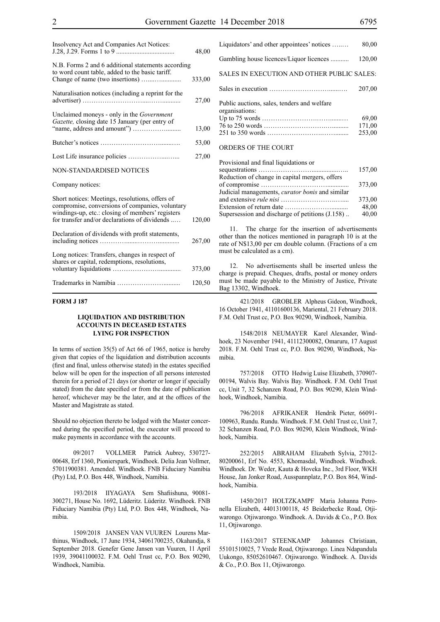| Insolvency Act and Companies Act Notices:                                                                                                                                                               | 48,00  |
|---------------------------------------------------------------------------------------------------------------------------------------------------------------------------------------------------------|--------|
| N.B. Forms 2 and 6 additional statements according<br>to word count table, added to the basic tariff.                                                                                                   | 333,00 |
| Naturalisation notices (including a reprint for the                                                                                                                                                     | 27,00  |
| Unclaimed moneys - only in the Government<br>Gazette, closing date 15 January (per entry of                                                                                                             | 13,00  |
|                                                                                                                                                                                                         | 53,00  |
|                                                                                                                                                                                                         | 27,00  |
| <b>NON-STANDARDISED NOTICES</b>                                                                                                                                                                         |        |
| Company notices:                                                                                                                                                                                        |        |
| Short notices: Meetings, resolutions, offers of<br>compromise, conversions of companies, voluntary<br>windings-up, etc.: closing of members' registers<br>for transfer and/or declarations of dividends | 120,00 |
| Declaration of dividends with profit statements,                                                                                                                                                        | 267,00 |
| Long notices: Transfers, changes in respect of<br>shares or capital, redemptions, resolutions,                                                                                                          | 373,00 |
|                                                                                                                                                                                                         | 120,50 |

#### **FORM J 187**

#### **LIQUIDATION AND DISTRIBUTION ACCOUNTS IN DECEASED ESTATES LYING FOR INSPECTION**

In terms of section 35(5) of Act 66 of 1965, notice is hereby given that copies of the liquidation and distribution accounts (first and final, unless otherwise stated) in the estates specified below will be open for the inspection of all persons interested therein for a period of 21 days (or shorter or longer if specially stated) from the date specified or from the date of publication hereof, whichever may be the later, and at the offices of the Master and Magistrate as stated.

Should no objection thereto be lodged with the Master concerned during the specified period, the executor will proceed to make payments in accordance with the accounts.

09/2017 VOLLMER Patrick Aubrey, 530727- 00648, Erf 1360, Pionierspark, Windhoek. Delia Jean Vollmer, 57011900381. Amended. Windhoek. FNB Fiduciary Namibia (Pty) Ltd, P.O. Box 448, Windhoek, Namibia.

193/2018 IIYAGAYA Sem Shafiishuna, 90081- 300271, House No. 1692, Lüderitz. Lüderitz. Windhoek. FNB Fiduciary Namibia (Pty) Ltd, P.O. Box 448, Windhoek, Namibia.

1509/2018 JANSEN VAN VUUREN Lourens Marthinus, Windhoek, 17 June 1934, 34061700235, Okahandja, 8 September 2018. Genefer Gene Jansen van Vuuren, 11 April 1939, 39041100032. F.M. Oehl Trust cc, P.O. Box 90290, Windhoek, Namibia.

| Liquidators' and other appointees' notices                    | 80,00                     |
|---------------------------------------------------------------|---------------------------|
| Gambling house licences/Liquor licences                       | 120,00                    |
| SALES IN EXECUTION AND OTHER PUBLIC SALES:                    |                           |
|                                                               | 207,00                    |
| Public auctions, sales, tenders and welfare<br>organisations: | 69,00<br>171,00<br>253,00 |
| <b>ORDERS OF THE COURT</b>                                    |                           |

| Provisional and final liquidations or                  |        |
|--------------------------------------------------------|--------|
|                                                        | 157,00 |
| Reduction of change in capital mergers, offers         |        |
|                                                        | 373,00 |
| Judicial managements, <i>curator bonis</i> and similar |        |
|                                                        | 373,00 |
|                                                        | 48,00  |
| Supersession and discharge of petitions (J.158)        | 40,00  |

11. The charge for the insertion of advertisements other than the notices mentioned in paragraph 10 is at the rate of N\$13,00 per cm double column. (Fractions of a cm must be calculated as a cm).

12. No advertisements shall be inserted unless the charge is prepaid. Cheques, drafts, postal or money orders must be made payable to the Ministry of Justice, Private Bag 13302, Windhoek.

421/2018 GROBLER Alpheus Gideon, Windhoek, 16 October 1941, 41101600136, Mariental, 21 February 2018. F.M. Oehl Trust cc, P.O. Box 90290, Windhoek, Namibia.

1548/2018 NEUMAYER Karel Alexander, Windhoek, 23 November 1941, 41112300082, Omaruru, 17 August 2018. F.M. Oehl Trust cc, P.O. Box 90290, Windhoek, Namibia.

757/2018 OTTO Hedwig Luise Elizabeth, 370907- 00194, Walvis Bay. Walvis Bay. Windhoek. F.M. Oehl Trust cc, Unit 7, 32 Schanzen Road, P.O. Box 90290, Klein Windhoek, Windhoek, Namibia.

796/2018 AFRIKANER Hendrik Pieter, 66091- 100963, Rundu. Rundu. Windhoek. F.M. Oehl Trust cc, Unit 7, 32 Schanzen Road, P.O. Box 90290, Klein Windhoek, Windhoek, Namibia.

252/2015 ABRAHAM Elizabeth Sylvia, 27012- 80200061, Erf No. 4553, Khomasdal, Windhoek. Windhoek. Windhoek. Dr. Weder, Kauta & Hoveka Inc., 3rd Floor, WKH House, Jan Jonker Road, Ausspannplatz, P.O. Box 864, Windhoek, Namibia.

1450/2017 HOLTZKAMPF Maria Johanna Petronella Elizabeth, 44013100118, 45 Beiderbecke Road, Otjiwarongo. Otjiwarongo. Windhoek. A. Davids & Co., P.O. Box 11, Otjiwarongo.

1163/2017 STEENKAMP Johannes Christiaan, 55101510025, 7 Vrede Road, Otjiwarongo. Linea Ndapandula Uukongo, 85052610467. Otjiwarongo. Windhoek. A. Davids & Co., P.O. Box 11, Otjiwarongo.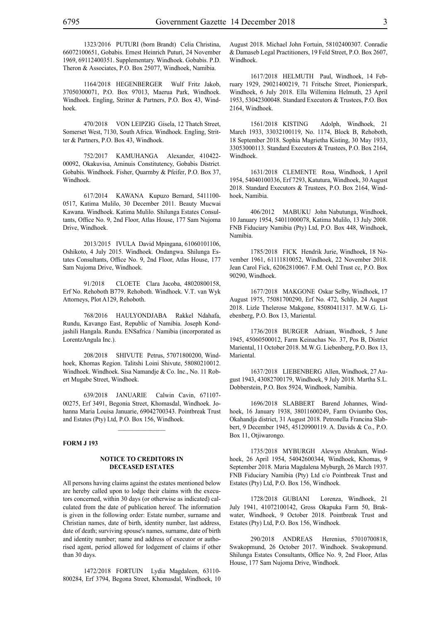1323/2016 PUTURI (born Brandt) Celia Christina, 66072100651, Gobabis. Ernest Heinrich Puturi, 24 November 1969, 69112400351. Supplementary. Windhoek. Gobabis. P.D. Theron & Associates, P.O. Box 25077, Windhoek, Namibia.

1164/2018 HEGENBERGER Wulf Fritz Jakob, 37050300071, P.O. Box 97013, Maerua Park, Windhoek. Windhoek. Engling, Stritter & Partners, P.O. Box 43, Windhoek.

470/2018 VON LEIPZIG Gisela, 12 Thatch Street, Somerset West, 7130, South Africa. Windhoek. Engling, Stritter & Partners, P.O. Box 43, Windhoek.

752/2017 KAMUHANGA Alexander, 410422- 00092, Okakuvisa, Aminuis Constitutency, Gobabis District. Gobabis. Windhoek. Fisher, Quarmby & Pfeifer, P.O. Box 37, Windhoek.

617/2014 KAWANA Kupuzo Bernard, 5411100- 0517, Katima Mulilo, 30 December 2011. Beauty Mucwai Kawana. Windhoek. Katima Mulilo. Shilunga Estates Consultants, Office No. 9, 2nd Floor, Atlas House, 177 Sam Nujoma Drive, Windhoek.

2013/2015 IVULA David Mpingana, 61060101106, Oshikoto, 4 July 2015. Windhoek. Ondangwa. Shilunga Estates Consultants, Office No. 9, 2nd Floor, Atlas House, 177 Sam Nujoma Drive, Windhoek.

91/2018 CLOETE Clara Jacoba, 48020800158, Erf No. Rehoboth B779. Rehoboth. Windhoek. V.T. van Wyk Attorneys, Plot A129, Rehoboth.

768/2016 HAULYONDJABA Rakkel Ndahafa, Rundu, Kavango East, Republic of Namibia. Joseph Kondjashili Hangala. Rundu. ENSafrica / Namibia (incorporated as LorentzAngula Inc.).

208/2018 SHIVUTE Petrus, 57071800200, Windhoek, Khomas Region. Talitshi Loini Shivute, 58080210012. Windhoek. Windhoek. Sisa Namandje & Co. Inc., No. 11 Robert Mugabe Street, Windhoek.

639/2018 JANUARIE Calwin Cavin, 671107- 00275, Erf 3491, Begonia Street, Khomasdal, Windhoek. Johanna Maria Louisa Januarie, 69042700343. Pointbreak Trust and Estates (Pty) Ltd, P.O. Box 156, Windhoek.

 $\frac{1}{2}$ 

#### **FORM J 193**

#### **NOTICE TO CREDITORS IN DECEASED ESTATES**

All persons having claims against the estates mentioned below are hereby called upon to lodge their claims with the executors concerned, within 30 days (or otherwise as indicated) calculated from the date of publication hereof. The information is given in the following order: Estate number, surname and Christian names, date of birth, identity number, last address, date of death; surviving spouse's names, surname, date of birth and identity number; name and address of executor or authorised agent, period allowed for lodgement of claims if other than 30 days.

1472/2018 FORTUIN Lydia Magdaleen, 63110- 800284, Erf 3794, Begona Street, Khomasdal, Windhoek, 10 August 2018. Michael John Fortuin, 58102400307. Conradie & Damaseb Legal Practitioners, 19 Feld Street, P.O. Box 2607, Windhoek.

1617/2018 HELMUTH Paul, Windhoek, 14 February 1929, 29021400219, 71 Fritsche Street, Pionierspark, Windhoek, 6 July 2018. Ella Willemina Helmuth, 23 April 1953, 53042300048. Standard Executors & Trustees, P.O. Box 2164, Windhoek.

1561/2018 KISTING Adolph, Windhoek, 21 March 1933, 33032100119, No. 1174, Block B, Rehoboth, 18 September 2018. Sophia Magrietha Kisting, 30 May 1933, 33053000113. Standard Executors & Trustees, P.O. Box 2164, Windhoek.

1631/2018 CLEMENTE Rosa, Windhoek, 1 April 1954, 54040100336, Erf 7293, Katutura, Windhoek, 30 August 2018. Standard Executors & Trustees, P.O. Box 2164, Windhoek, Namibia.

406/2012 MABUKU John Nabutunga, Windhoek, 10 January 1954, 54011000078, Katima Mulilo, 13 July 2008. FNB Fiduciary Namibia (Pty) Ltd, P.O. Box 448, Windhoek, Namibia.

1785/2018 FICK Hendrik Jurie, Windhoek, 18 November 1961, 61111810052, Windhoek, 22 November 2018. Jean Carol Fick, 62062810067. F.M. Oehl Trust cc, P.O. Box 90290, Windhoek.

1677/2018 MAKGONE Oskar Selby, Windhoek, 17 August 1975, 75081700290, Erf No. 472, Schlip, 24 August 2018. Lizle Thelerose Makgone, 85080411317. M.W.G. Liebenberg, P.O. Box 13, Mariental.

1736/2018 BURGER Adriaan, Windhoek, 5 June 1945, 45060500012, Farm Keinachas No. 37, Pos B, District Mariental, 11 October 2018. M.W.G. Liebenberg, P.O. Box 13, Mariental.

1637/2018 LIEBENBERG Allen, Windhoek, 27 August 1943, 43082700179, Windhoek, 9 July 2018. Martha S.L. Dobberstein, P.O. Box 5924, Windhoek, Namibia.

1696/2018 SLABBERT Barend Johannes, Windhoek, 16 January 1938, 38011600249, Farm Oviumbo Oos, Okahandja district, 31 August 2018. Petronella Francina Slabbert, 9 December 1945, 45120900119. A. Davids & Co., P.O. Box 11, Otjiwarongo.

1735/2018 MYBURGH Alewyn Abraham, Windhoek, 26 April 1954, 54042600344, Windhoek, Khomas, 9 September 2018. Maria Magdalena Myburgh, 26 March 1937. FNB Fiduciary Namibia (Pty) Ltd c/o Pointbreak Trust and Estates (Pty) Ltd, P.O. Box 156, Windhoek.

1728/2018 GUBIANI Lorenza, Windhoek, 21 July 1941, 41072100142, Gross Okapuka Farm 50, Brakwater, Windhoek, 9 October 2018. Pointbreak Trust and Estates (Pty) Ltd, P.O. Box 156, Windhoek.

290/2018 ANDREAS Herenius, 57010700818, Swakopmund, 26 October 2017. Windhoek. Swakopmund. Shilunga Estates Consultants, Office No. 9, 2nd Floor, Atlas House, 177 Sam Nujoma Drive, Windhoek.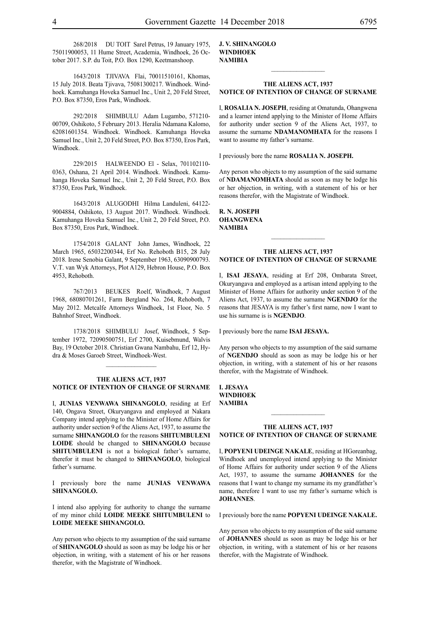268/2018 DU TOIT Sarel Petrus, 19 January 1975, 75011900053, 11 Hume Street, Academia, Windhoek, 26 October 2017. S.P. du Toit, P.O. Box 1290, Keetmanshoop.

1643/2018 TJIVAVA Flai, 70011510161, Khomas, 15 July 2018. Beata Tjivava, 75081300217. Windhoek. Windhoek. Kamuhanga Hoveka Samuel Inc., Unit 2, 20 Feld Street, P.O. Box 87350, Eros Park, Windhoek.

292/2018 SHIMBULU Adam Lugambo, 571210- 00709, Oshikoto, 5 February 2013. Heralia Ndamana Kalomo, 62081601354. Windhoek. Windhoek. Kamuhanga Hoveka Samuel Inc., Unit 2, 20 Feld Street, P.O. Box 87350, Eros Park, Windhoek.

229/2015 HALWEENDO El - Selax, 701102110- 0363, Oshana, 21 April 2014. Windhoek. Windhoek. Kamuhanga Hoveka Samuel Inc., Unit 2, 20 Feld Street, P.O. Box 87350, Eros Park, Windhoek.

1643/2018 ALUGODHI Hilma Landuleni, 64122- 9004884, Oshikoto, 13 August 2017. Windhoek. Windhoek. Kamuhanga Hoveka Samuel Inc., Unit 2, 20 Feld Street, P.O. Box 87350, Eros Park, Windhoek.

1754/2018 GALANT John James, Windhoek, 22 March 1965, 65032200344, Erf No. Rehoboth B15, 28 July 2018. Irene Senobia Galant, 9 September 1963, 63090900793. V.T. van Wyk Attorneys, Plot A129, Hebron House, P.O. Box 4953, Rehoboth.

767/2013 BEUKES Roelf, Windhoek, 7 August 1968, 68080701261, Farm Bergland No. 264, Rehoboth, 7 May 2012. Metcalfe Attorneys Windhoek, 1st Floor, No. 5 Bahnhof Street, Windhoek.

1738/2018 SHIMBULU Josef, Windhoek, 5 September 1972, 72090500751, Erf 2700, Kuisebmund, Walvis Bay, 19 October 2018. Christian Gwana Nambahu, Erf 12, Hydra & Moses Garoeb Street, Windhoek-West.

 $\frac{1}{2}$ 

#### **THE ALIENS ACT, 1937 NOTICE OF INTENTION OF CHANGE OF SURNAME**

I, **junias venwawa SHINANGOLO**, residing at Erf 140, Ongava Street, Okuryangava and employed at Nakara Company intend applying to the Minister of Home Affairs for authority under section 9 of the Aliens Act, 1937, to assume the surname **shinangolo** for the reasons **SHITUMBULENI LOIDE** should be changed to **SHINANGOLO** because **SHITUMBULENI** is not a biological father's surname, therefor it must be changed to **SHINANGOLO**, biological father's surname.

I previously bore the name **junias venwawa SHINANGOLO.**

I intend also applying for authority to change the surname of my minor child **LOIDE MEEKE SHITUMBULENI** to **LOIDE MEEKE SHINANGOLO.**

Any person who objects to my assumption of the said surname of **SHINANGOLO** should as soon as may be lodge his or her objection, in writing, with a statement of his or her reasons therefor, with the Magistrate of Windhoek.

**j. v. SHINANGOLO windhoek NAMIBIA**

#### **THE ALIENS ACT, 1937 NOTICE OF INTENTION OF CHANGE OF SURNAME**

 $\frac{1}{2}$ 

I, **Rosalia N. Joseph**, residing at Omatunda, Ohangwena and a learner intend applying to the Minister of Home Affairs for authority under section 9 of the Aliens Act, 1937, to assume the surname **NDAMANOMHATA** for the reasons I want to assume my father's surname.

I previously bore the name **Rosalia N. Joseph.**

Any person who objects to my assumption of the said surname of **NDAMANOMHATA** should as soon as may be lodge his or her objection, in writing, with a statement of his or her reasons therefor, with the Magistrate of Windhoek.

**R. N. Joseph ohangwena NAMIBIA**

#### **THE ALIENS ACT, 1937 NOTICE OF INTENTION OF CHANGE OF SURNAME**

I, **isai jesaya**, residing at Erf 208, Ombarata Street, Okuryangava and employed as a artisan intend applying to the Minister of Home Affairs for authority under section 9 of the Aliens Act, 1937, to assume the surname **NGENDJO** for the reasons that JESAYA is my father's first name, now I want to use his surname is is **NGENDJO**.

I previously bore the name **isai jesaya.**

Any person who objects to my assumption of the said surname of **NGENDJO** should as soon as may be lodge his or her objection, in writing, with a statement of his or her reasons therefor, with the Magistrate of Windhoek.

**i. jesaya windhoek NAMIBIA**

#### **THE ALIENS ACT, 1937 NOTICE OF INTENTION OF CHANGE OF SURNAME**

 $\frac{1}{2}$ 

I, **popyeni udeinge nakale**, residing at HGoreanbag, Windhoek and unemployed intend applying to the Minister of Home Affairs for authority under section 9 of the Aliens Act, 1937, to assume the surname **johannes** for the reasons that I want to change my surname its my grandfather's name, therefore I want to use my father's surname which is **JOHANNES**.

I previously bore the name **popyeni udeinge nakale.**

Any person who objects to my assumption of the said surname of **JOHANNES** should as soon as may be lodge his or her objection, in writing, with a statement of his or her reasons therefor, with the Magistrate of Windhoek.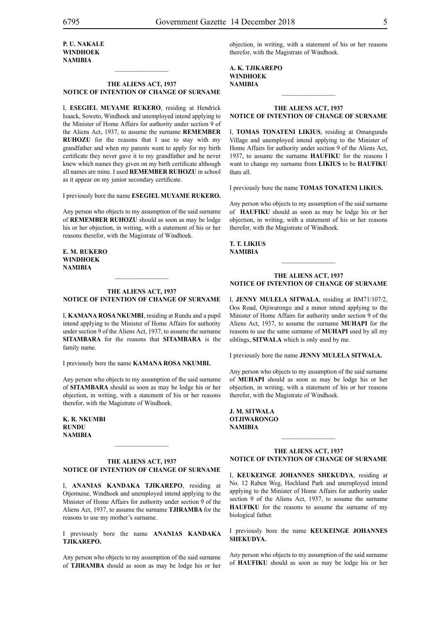#### **THE ALIENS ACT, 1937 NOTICE OF INTENTION OF CHANGE OF SURNAME**

 $\frac{1}{2}$ 

I, **esegiel muyame rukero**, residing at Hendrick Isaack, Soweto, Windhoek and unemployed intend applying to the Minister of Home Affairs for authority under section 9 of the Aliens Act, 1937, to assume the surname **REMEMBER RUHOZU** for the reasons that I use to stay with my grandfather and when my parents went to apply for my birth certificate they never gave it to my grandfather and he never knew which names they given on my birth certificate although all names are mine. I used **REMEMBER RUHOZU** in school as it appear on my junior secondary certificate.

I previously bore the name **esegiel muyame rukero.**

Any person who objects to my assumption of the said surname of **REMEMBER RUHOZU** should as soon as may be lodge his or her objection, in writing, with a statement of his or her reasons therefor, with the Magistrate of Windhoek.

**e. m. rukero windhoek NAMIBIA**

#### **THE ALIENS ACT, 1937 NOTICE OF INTENTION OF CHANGE OF SURNAME**

I, **kamana rosa nkumbi**, residing at Rundu and a pupil intend applying to the Minister of Home Affairs for authority under section 9 of the Aliens Act, 1937, to assume the surname **SITAMBARA** for the reasons that **SITAMBARA** is the family name.

I previously bore the name **kamana rosa nkumbi.**

Any person who objects to my assumption of the said surname of **sitambara** should as soon as may be lodge his or her objection, in writing, with a statement of his or her reasons therefor, with the Magistrate of Windhoek.

**k. r. nkumbi rundu NAMIBIA**

#### **THE ALIENS ACT, 1937 NOTICE OF INTENTION OF CHANGE OF SURNAME**

 $\frac{1}{2}$ 

I, **ananias kandaka tjikarepo**, residing at Otjomuise, Windhoek and unemployed intend applying to the Minister of Home Affairs for authority under section 9 of the Aliens Act, 1937, to assume the surname **TJIRAMBA** for the reasons to use my mother's surname.

I previously bore the name **ananias kandaka tjikarepo.**

Any person who objects to my assumption of the said surname of **tjiramba** should as soon as may be lodge his or her objection, in writing, with a statement of his or her reasons therefor, with the Magistrate of Windhoek.

**a. k. tjikarepo windhoek NAMIBIA**

#### **THE ALIENS ACT, 1937 NOTICE OF INTENTION OF CHANGE OF SURNAME**

 $\frac{1}{2}$ 

I, **tomas tonateni likius**, residing at Omangundu Village and unemployed intend applying to the Minister of Home Affairs for authority under section 9 of the Aliens Act, 1937, to assume the surname **haufiku** for the reasons I want to change my surname from **LIKIUS** to be **HAUFIKU**  thats all.

I previously bore the name **tomas tonateni likius.**

Any person who objects to my assumption of the said surname of **HAUFIKU** should as soon as may be lodge his or her objection, in writing, with a statement of his or her reasons therefor, with the Magistrate of Windhoek.

**t. t. likius NAMIBIA**

#### **THE ALIENS ACT, 1937 NOTICE OF INTENTION OF CHANGE OF SURNAME**

 $\frac{1}{2}$ 

I, **jenny mulela sitwala**, residing at BM71/107/2, Oos Road, Otjiwarongo and a minor intend applying to the Minister of Home Affairs for authority under section 9 of the Aliens Act, 1937, to assume the surname **muhapi** for the reasons to use the same surname of **MUHAPI** used by all my siblings, **SITWALA** which is only used by me.

I previously bore the name **jenny mulela sitwala.**

Any person who objects to my assumption of the said surname of **MUHAPI** should as soon as may be lodge his or her objection, in writing, with a statement of his or her reasons therefor, with the Magistrate of Windhoek.

**j. m. sitwala otjiwarongo NAMIBIA**

#### **THE ALIENS ACT, 1937 NOTICE OF INTENTION OF CHANGE OF SURNAME**

 $\frac{1}{2}$ 

I, **keukeinge johannes shekudya**, residing at No. 12 Raben Weg, Hochland Park and unemployed intend applying to the Minister of Home Affairs for authority under section 9 of the Aliens Act, 1937, to assume the surname **HAUFIKU** for the reasons to assume the surname of my biological father.

I previously bore the name **keukeinge johannes shekudya.**

Any person who objects to my assumption of the said surname of **haufiku** should as soon as may be lodge his or her